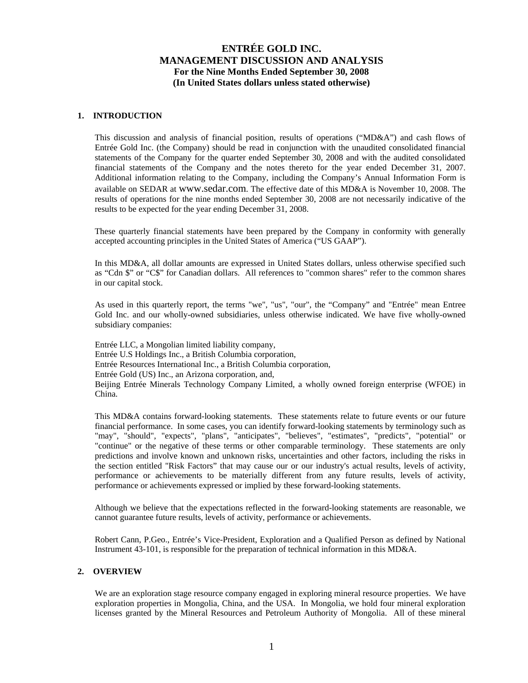### **1. INTRODUCTION**

This discussion and analysis of financial position, results of operations ("MD&A") and cash flows of Entrée Gold Inc. (the Company) should be read in conjunction with the unaudited consolidated financial statements of the Company for the quarter ended September 30, 2008 and with the audited consolidated financial statements of the Company and the notes thereto for the year ended December 31, 2007. Additional information relating to the Company, including the Company's Annual Information Form is available on SEDAR at www.sedar.com. The effective date of this MD&A is November 10, 2008. The results of operations for the nine months ended September 30, 2008 are not necessarily indicative of the results to be expected for the year ending December 31, 2008.

These quarterly financial statements have been prepared by the Company in conformity with generally accepted accounting principles in the United States of America ("US GAAP").

In this MD&A, all dollar amounts are expressed in United States dollars, unless otherwise specified such as "Cdn \$" or "C\$" for Canadian dollars. All references to "common shares" refer to the common shares in our capital stock.

As used in this quarterly report, the terms "we", "us", "our", the "Company" and "Entrée" mean Entree Gold Inc. and our wholly-owned subsidiaries, unless otherwise indicated. We have five wholly-owned subsidiary companies:

Entrée LLC, a Mongolian limited liability company, Entrée U.S Holdings Inc., a British Columbia corporation, Entrée Resources International Inc., a British Columbia corporation, Entrée Gold (US) Inc., an Arizona corporation, and, Beijing Entrée Minerals Technology Company Limited, a wholly owned foreign enterprise (WFOE) in China.

This MD&A contains forward-looking statements. These statements relate to future events or our future financial performance. In some cases, you can identify forward-looking statements by terminology such as "may", "should", "expects", "plans", "anticipates", "believes", "estimates", "predicts", "potential" or "continue" or the negative of these terms or other comparable terminology. These statements are only predictions and involve known and unknown risks, uncertainties and other factors, including the risks in the section entitled "Risk Factors" that may cause our or our industry's actual results, levels of activity, performance or achievements to be materially different from any future results, levels of activity, performance or achievements expressed or implied by these forward-looking statements.

Although we believe that the expectations reflected in the forward-looking statements are reasonable, we cannot guarantee future results, levels of activity, performance or achievements.

Robert Cann, P.Geo., Entrée's Vice-President, Exploration and a Qualified Person as defined by National Instrument 43-101, is responsible for the preparation of technical information in this MD&A.

### **2. OVERVIEW**

We are an exploration stage resource company engaged in exploring mineral resource properties. We have exploration properties in Mongolia, China, and the USA. In Mongolia, we hold four mineral exploration licenses granted by the Mineral Resources and Petroleum Authority of Mongolia. All of these mineral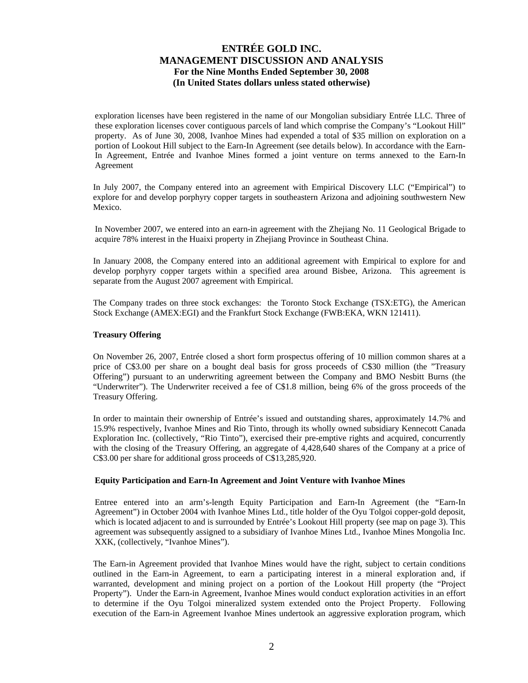exploration licenses have been registered in the name of our Mongolian subsidiary Entrée LLC. Three of these exploration licenses cover contiguous parcels of land which comprise the Company's "Lookout Hill" property. As of June 30, 2008, Ivanhoe Mines had expended a total of \$35 million on exploration on a portion of Lookout Hill subject to the Earn-In Agreement (see details below). In accordance with the Earn-In Agreement, Entrée and Ivanhoe Mines formed a joint venture on terms annexed to the Earn-In Agreement

In July 2007, the Company entered into an agreement with Empirical Discovery LLC ("Empirical") to explore for and develop porphyry copper targets in southeastern Arizona and adjoining southwestern New Mexico.

In November 2007, we entered into an earn-in agreement with the Zhejiang No. 11 Geological Brigade to acquire 78% interest in the Huaixi property in Zhejiang Province in Southeast China.

In January 2008, the Company entered into an additional agreement with Empirical to explore for and develop porphyry copper targets within a specified area around Bisbee, Arizona. This agreement is separate from the August 2007 agreement with Empirical.

The Company trades on three stock exchanges: the Toronto Stock Exchange (TSX:ETG), the American Stock Exchange (AMEX:EGI) and the Frankfurt Stock Exchange (FWB:EKA, WKN 121411).

### **Treasury Offering**

On November 26, 2007, Entrée closed a short form prospectus offering of 10 million common shares at a price of C\$3.00 per share on a bought deal basis for gross proceeds of C\$30 million (the "Treasury Offering") pursuant to an underwriting agreement between the Company and BMO Nesbitt Burns (the "Underwriter"). The Underwriter received a fee of C\$1.8 million, being 6% of the gross proceeds of the Treasury Offering.

In order to maintain their ownership of Entrée's issued and outstanding shares, approximately 14.7% and 15.9% respectively, Ivanhoe Mines and Rio Tinto, through its wholly owned subsidiary Kennecott Canada Exploration Inc. (collectively, "Rio Tinto"), exercised their pre-emptive rights and acquired, concurrently with the closing of the Treasury Offering, an aggregate of 4,428,640 shares of the Company at a price of C\$3.00 per share for additional gross proceeds of C\$13,285,920.

### **Equity Participation and Earn-In Agreement and Joint Venture with Ivanhoe Mines**

Entree entered into an arm's-length Equity Participation and Earn-In Agreement (the "Earn-In Agreement") in October 2004 with Ivanhoe Mines Ltd., title holder of the Oyu Tolgoi copper-gold deposit, which is located adjacent to and is surrounded by Entrée's Lookout Hill property (see map on page 3). This agreement was subsequently assigned to a subsidiary of Ivanhoe Mines Ltd., Ivanhoe Mines Mongolia Inc. XXK, (collectively, "Ivanhoe Mines").

The Earn-in Agreement provided that Ivanhoe Mines would have the right, subject to certain conditions outlined in the Earn-in Agreement, to earn a participating interest in a mineral exploration and, if warranted, development and mining project on a portion of the Lookout Hill property (the "Project Property"). Under the Earn-in Agreement, Ivanhoe Mines would conduct exploration activities in an effort to determine if the Oyu Tolgoi mineralized system extended onto the Project Property. Following execution of the Earn-in Agreement Ivanhoe Mines undertook an aggressive exploration program, which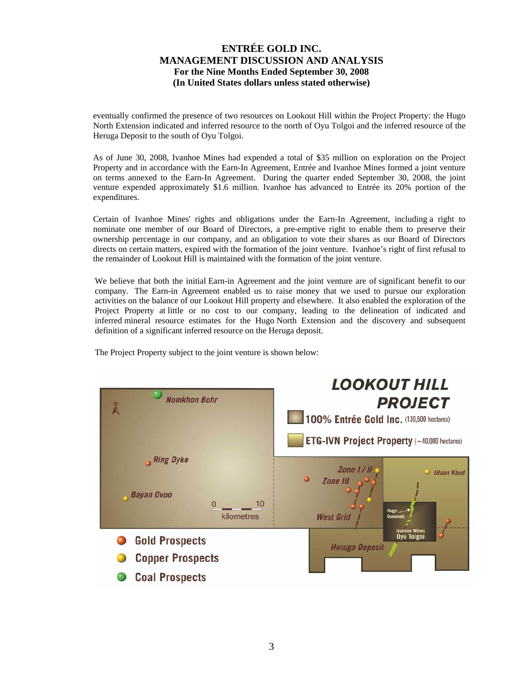eventually confirmed the presence of two resources on Lookout Hill within the Project Property: the Hugo North Extension indicated and inferred resource to the north of Oyu Tolgoi and the inferred resource of the Heruga Deposit to the south of Oyu Tolgoi.

As of June 30, 2008, Ivanhoe Mines had expended a total of \$35 million on exploration on the Project Property and in accordance with the Earn-In Agreement, Entrée and Ivanhoe Mines formed a joint venture on terms annexed to the Earn-In Agreement. During the quarter ended September 30, 2008, the joint venture expended approximately \$1.6 million. Ivanhoe has advanced to Entrée its 20% portion of the expenditures.

Certain of Ivanhoe Mines' rights and obligations under the Earn-In Agreement, including a right to nominate one member of our Board of Directors, a pre-emptive right to enable them to preserve their ownership percentage in our company, and an obligation to vote their shares as our Board of Directors directs on certain matters, expired with the formation of the joint venture. Ivanhoe's right of first refusal to the remainder of Lookout Hill is maintained with the formation of the joint venture.

We believe that both the initial Earn-in Agreement and the joint venture are of significant benefit to our company. The Earn-in Agreement enabled us to raise money that we used to pursue our exploration activities on the balance of our Lookout Hill property and elsewhere. It also enabled the exploration of the Project Property at little or no cost to our company, leading to the delineation of indicated and inferred mineral resource estimates for the Hugo North Extension and the discovery and subsequent definition of a significant inferred resource on the Heruga deposit.

The Project Property subject to the joint venture is shown below:

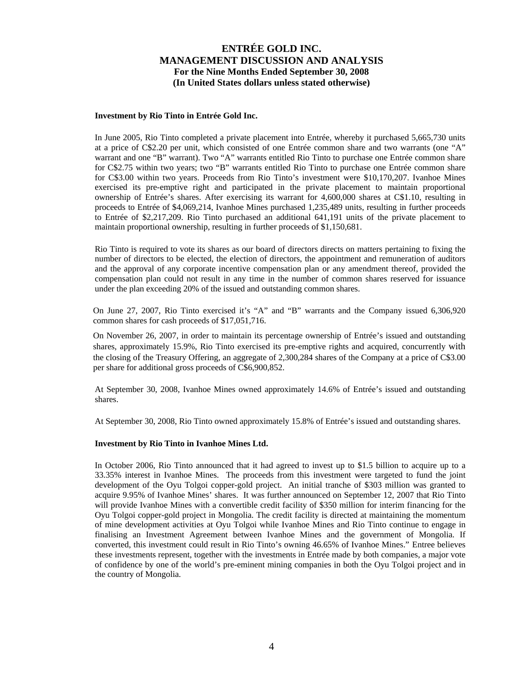#### **Investment by Rio Tinto in Entrée Gold Inc.**

In June 2005, Rio Tinto completed a private placement into Entrée, whereby it purchased 5,665,730 units at a price of C\$2.20 per unit, which consisted of one Entrée common share and two warrants (one "A" warrant and one "B" warrant). Two "A" warrants entitled Rio Tinto to purchase one Entrée common share for C\$2.75 within two years; two "B" warrants entitled Rio Tinto to purchase one Entrée common share for C\$3.00 within two years. Proceeds from Rio Tinto's investment were \$10,170,207. Ivanhoe Mines exercised its pre-emptive right and participated in the private placement to maintain proportional ownership of Entrée's shares. After exercising its warrant for 4,600,000 shares at C\$1.10, resulting in proceeds to Entrée of \$4,069,214, Ivanhoe Mines purchased 1,235,489 units, resulting in further proceeds to Entrée of \$2,217,209. Rio Tinto purchased an additional 641,191 units of the private placement to maintain proportional ownership, resulting in further proceeds of \$1,150,681.

Rio Tinto is required to vote its shares as our board of directors directs on matters pertaining to fixing the number of directors to be elected, the election of directors, the appointment and remuneration of auditors and the approval of any corporate incentive compensation plan or any amendment thereof, provided the compensation plan could not result in any time in the number of common shares reserved for issuance under the plan exceeding 20% of the issued and outstanding common shares.

On June 27, 2007, Rio Tinto exercised it's "A" and "B" warrants and the Company issued 6,306,920 common shares for cash proceeds of \$17,051,716.

On November 26, 2007, in order to maintain its percentage ownership of Entrée's issued and outstanding shares, approximately 15.9%, Rio Tinto exercised its pre-emptive rights and acquired, concurrently with the closing of the Treasury Offering, an aggregate of 2,300,284 shares of the Company at a price of C\$3.00 per share for additional gross proceeds of C\$6,900,852.

At September 30, 2008, Ivanhoe Mines owned approximately 14.6% of Entrée's issued and outstanding shares.

At September 30, 2008, Rio Tinto owned approximately 15.8% of Entrée's issued and outstanding shares.

### **Investment by Rio Tinto in Ivanhoe Mines Ltd.**

In October 2006, Rio Tinto announced that it had agreed to invest up to \$1.5 billion to acquire up to a 33.35% interest in Ivanhoe Mines. The proceeds from this investment were targeted to fund the joint development of the Oyu Tolgoi copper-gold project. An initial tranche of \$303 million was granted to acquire 9.95% of Ivanhoe Mines' shares. It was further announced on September 12, 2007 that Rio Tinto will provide Ivanhoe Mines with a convertible credit facility of \$350 million for interim financing for the Oyu Tolgoi copper-gold project in Mongolia. The credit facility is directed at maintaining the momentum of mine development activities at Oyu Tolgoi while Ivanhoe Mines and Rio Tinto continue to engage in finalising an Investment Agreement between Ivanhoe Mines and the government of Mongolia. If converted, this investment could result in Rio Tinto's owning 46.65% of Ivanhoe Mines." Entree believes these investments represent, together with the investments in Entrée made by both companies, a major vote of confidence by one of the world's pre-eminent mining companies in both the Oyu Tolgoi project and in the country of Mongolia.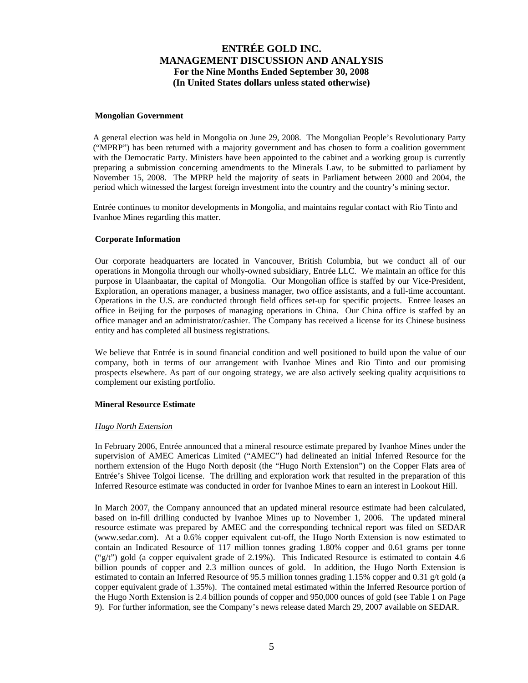#### **Mongolian Government**

A general election was held in Mongolia on June 29, 2008. The Mongolian People's Revolutionary Party ("MPRP") has been returned with a majority government and has chosen to form a coalition government with the Democratic Party. Ministers have been appointed to the cabinet and a working group is currently preparing a submission concerning amendments to the Minerals Law, to be submitted to parliament by November 15, 2008. The MPRP held the majority of seats in Parliament between 2000 and 2004, the period which witnessed the largest foreign investment into the country and the country's mining sector.

Entrée continues to monitor developments in Mongolia, and maintains regular contact with Rio Tinto and Ivanhoe Mines regarding this matter.

### **Corporate Information**

Our corporate headquarters are located in Vancouver, British Columbia, but we conduct all of our operations in Mongolia through our wholly-owned subsidiary, Entrée LLC. We maintain an office for this purpose in Ulaanbaatar, the capital of Mongolia. Our Mongolian office is staffed by our Vice-President, Exploration, an operations manager, a business manager, two office assistants, and a full-time accountant. Operations in the U.S. are conducted through field offices set-up for specific projects. Entree leases an office in Beijing for the purposes of managing operations in China. Our China office is staffed by an office manager and an administrator/cashier. The Company has received a license for its Chinese business entity and has completed all business registrations.

We believe that Entrée is in sound financial condition and well positioned to build upon the value of our company, both in terms of our arrangement with Ivanhoe Mines and Rio Tinto and our promising prospects elsewhere. As part of our ongoing strategy, we are also actively seeking quality acquisitions to complement our existing portfolio.

#### **Mineral Resource Estimate**

#### *Hugo North Extension*

In February 2006, Entrée announced that a mineral resource estimate prepared by Ivanhoe Mines under the supervision of AMEC Americas Limited ("AMEC") had delineated an initial Inferred Resource for the northern extension of the Hugo North deposit (the "Hugo North Extension") on the Copper Flats area of Entrée's Shivee Tolgoi license. The drilling and exploration work that resulted in the preparation of this Inferred Resource estimate was conducted in order for Ivanhoe Mines to earn an interest in Lookout Hill.

In March 2007, the Company announced that an updated mineral resource estimate had been calculated, based on in-fill drilling conducted by Ivanhoe Mines up to November 1, 2006. The updated mineral resource estimate was prepared by AMEC and the corresponding technical report was filed on SEDAR (www.sedar.com). At a 0.6% copper equivalent cut-off, the Hugo North Extension is now estimated to contain an Indicated Resource of 117 million tonnes grading 1.80% copper and 0.61 grams per tonne ("g/t") gold (a copper equivalent grade of 2.19%). This Indicated Resource is estimated to contain 4.6 billion pounds of copper and 2.3 million ounces of gold. In addition, the Hugo North Extension is estimated to contain an Inferred Resource of 95.5 million tonnes grading 1.15% copper and 0.31 g/t gold (a copper equivalent grade of 1.35%). The contained metal estimated within the Inferred Resource portion of the Hugo North Extension is 2.4 billion pounds of copper and 950,000 ounces of gold (see Table 1 on Page 9). For further information, see the Company's news release dated March 29, 2007 available on SEDAR.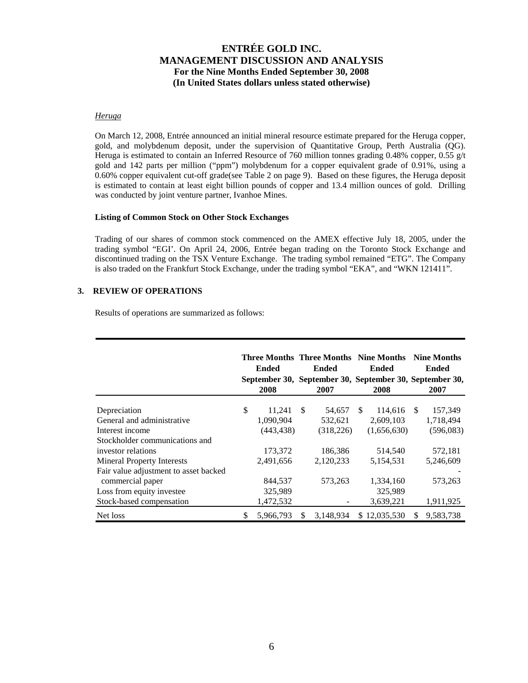#### *Heruga*

On March 12, 2008, Entrée announced an initial mineral resource estimate prepared for the Heruga copper, gold, and molybdenum deposit, under the supervision of Quantitative Group, Perth Australia (QG). Heruga is estimated to contain an Inferred Resource of 760 million tonnes grading 0.48% copper, 0.55 g/t gold and 142 parts per million ("ppm") molybdenum for a copper equivalent grade of 0.91%, using a 0.60% copper equivalent cut-off grade(see Table 2 on page 9). Based on these figures, the Heruga deposit is estimated to contain at least eight billion pounds of copper and 13.4 million ounces of gold. Drilling was conducted by joint venture partner, Ivanhoe Mines.

#### **Listing of Common Stock on Other Stock Exchanges**

Trading of our shares of common stock commenced on the AMEX effective July 18, 2005, under the trading symbol "EGI'. On April 24, 2006, Entrée began trading on the Toronto Stock Exchange and discontinued trading on the TSX Venture Exchange. The trading symbol remained "ETG". The Company is also traded on the Frankfurt Stock Exchange, under the trading symbol "EKA", and "WKN 121411".

### **3. REVIEW OF OPERATIONS**

Results of operations are summarized as follows:

|                                       | Ended |            | <b>Three Months Three Months Nine Months</b><br>Ended |                                                                 | <b>Ended</b> |              | <b>Nine Months</b><br>Ended |           |
|---------------------------------------|-------|------------|-------------------------------------------------------|-----------------------------------------------------------------|--------------|--------------|-----------------------------|-----------|
|                                       |       | 2008       |                                                       | September 30, September 30, September 30, September 30,<br>2007 |              | 2008         |                             | 2007      |
|                                       |       |            |                                                       |                                                                 |              |              |                             |           |
| Depreciation                          | \$    | 11.241     | -S                                                    | 54.657                                                          | -SS          | 114,616      | - \$                        | 157,349   |
| General and administrative            |       | 1,090,904  |                                                       | 532,621                                                         |              | 2,609,103    |                             | 1,718,494 |
| Interest income                       |       | (443, 438) |                                                       | (318, 226)                                                      |              | (1,656,630)  |                             | (596,083) |
| Stockholder communications and        |       |            |                                                       |                                                                 |              |              |                             |           |
| investor relations                    |       | 173,372    |                                                       | 186,386                                                         |              | 514,540      |                             | 572,181   |
| <b>Mineral Property Interests</b>     |       | 2,491,656  |                                                       | 2,120,233                                                       |              | 5,154,531    |                             | 5,246,609 |
| Fair value adjustment to asset backed |       |            |                                                       |                                                                 |              |              |                             |           |
| commercial paper                      |       | 844,537    |                                                       | 573,263                                                         |              | 1,334,160    |                             | 573,263   |
| Loss from equity investee             |       | 325,989    |                                                       |                                                                 |              | 325,989      |                             |           |
| Stock-based compensation              |       | 1,472,532  |                                                       |                                                                 |              | 3,639,221    |                             | 1,911,925 |
| Net loss                              | S     | 5,966,793  | S                                                     | 3.148.934                                                       |              | \$12,035,530 | S                           | 9,583,738 |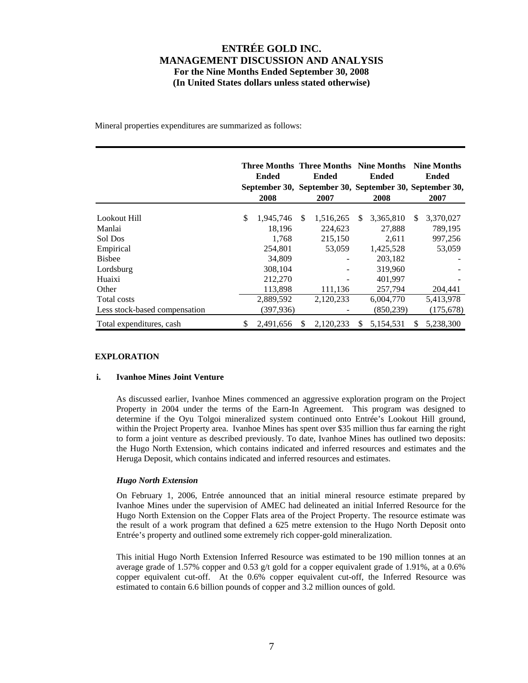Mineral properties expenditures are summarized as follows:

|                               | <b>Ended</b><br>2008 |           | <b>Three Months Three Months Nine Months</b><br><b>Ended</b><br>September 30, September 30, September 30, September 30,<br>2007 |           | <b>Ended</b><br>2008 |            |     | <b>Nine Months</b><br>Ended<br>2007 |
|-------------------------------|----------------------|-----------|---------------------------------------------------------------------------------------------------------------------------------|-----------|----------------------|------------|-----|-------------------------------------|
| Lookout Hill                  | \$                   | 1,945,746 | <sup>\$</sup>                                                                                                                   | 1,516,265 | \$.                  | 3,365,810  | \$. | 3,370,027                           |
| Manlai                        |                      | 18,196    |                                                                                                                                 | 224,623   |                      | 27,888     |     | 789,195                             |
| Sol Dos                       |                      | 1.768     |                                                                                                                                 | 215,150   |                      | 2.611      |     | 997,256                             |
| Empirical                     |                      | 254.801   |                                                                                                                                 | 53,059    |                      | 1,425,528  |     | 53,059                              |
| <b>Bishee</b>                 |                      | 34,809    |                                                                                                                                 |           |                      | 203,182    |     |                                     |
| Lordsburg                     |                      | 308,104   |                                                                                                                                 |           |                      | 319,960    |     |                                     |
| Huaixi                        |                      | 212,270   |                                                                                                                                 |           |                      | 401.997    |     |                                     |
| Other                         |                      | 113,898   |                                                                                                                                 | 111,136   |                      | 257,794    |     | 204,441                             |
| Total costs                   |                      | 2,889,592 |                                                                                                                                 | 2,120,233 |                      | 6.004.770  |     | 5,413,978                           |
| Less stock-based compensation |                      | (397,936) |                                                                                                                                 |           |                      | (850, 239) |     | (175, 678)                          |
| Total expenditures, cash      | \$                   | 2,491,656 | S                                                                                                                               | 2,120,233 | S                    | 5,154,531  | \$. | 5,238,300                           |

### **EXPLORATION**

### **i. Ivanhoe Mines Joint Venture**

As discussed earlier, Ivanhoe Mines commenced an aggressive exploration program on the Project Property in 2004 under the terms of the Earn-In Agreement. This program was designed to determine if the Oyu Tolgoi mineralized system continued onto Entrée's Lookout Hill ground, within the Project Property area. Ivanhoe Mines has spent over \$35 million thus far earning the right to form a joint venture as described previously. To date, Ivanhoe Mines has outlined two deposits: the Hugo North Extension, which contains indicated and inferred resources and estimates and the Heruga Deposit, which contains indicated and inferred resources and estimates.

### *Hugo North Extension*

On February 1, 2006, Entrée announced that an initial mineral resource estimate prepared by Ivanhoe Mines under the supervision of AMEC had delineated an initial Inferred Resource for the Hugo North Extension on the Copper Flats area of the Project Property. The resource estimate was the result of a work program that defined a 625 metre extension to the Hugo North Deposit onto Entrée's property and outlined some extremely rich copper-gold mineralization.

This initial Hugo North Extension Inferred Resource was estimated to be 190 million tonnes at an average grade of 1.57% copper and 0.53 g/t gold for a copper equivalent grade of 1.91%, at a 0.6% copper equivalent cut-off. At the 0.6% copper equivalent cut-off, the Inferred Resource was estimated to contain 6.6 billion pounds of copper and 3.2 million ounces of gold.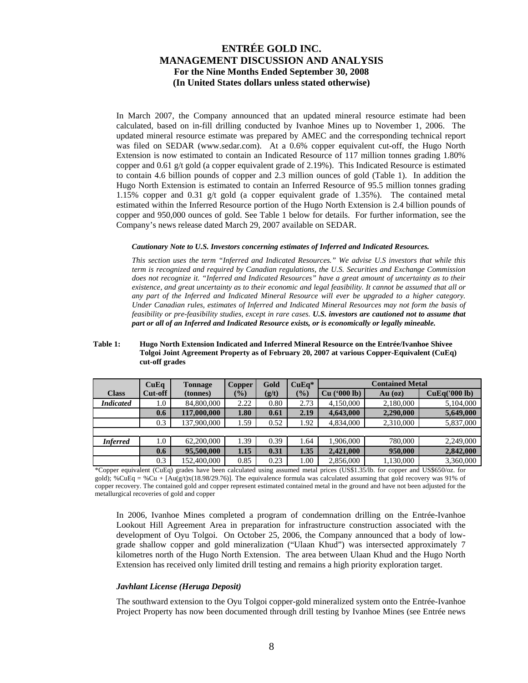In March 2007, the Company announced that an updated mineral resource estimate had been calculated, based on in-fill drilling conducted by Ivanhoe Mines up to November 1, 2006. The updated mineral resource estimate was prepared by AMEC and the corresponding technical report was filed on SEDAR (www.sedar.com). At a 0.6% copper equivalent cut-off, the Hugo North Extension is now estimated to contain an Indicated Resource of 117 million tonnes grading 1.80% copper and 0.61 g/t gold (a copper equivalent grade of 2.19%). This Indicated Resource is estimated to contain 4.6 billion pounds of copper and 2.3 million ounces of gold (Table 1). In addition the Hugo North Extension is estimated to contain an Inferred Resource of 95.5 million tonnes grading 1.15% copper and 0.31 g/t gold (a copper equivalent grade of 1.35%). The contained metal estimated within the Inferred Resource portion of the Hugo North Extension is 2.4 billion pounds of copper and 950,000 ounces of gold. See Table 1 below for details. For further information, see the Company's news release dated March 29, 2007 available on SEDAR.

#### *Cautionary Note to U.S. Investors concerning estimates of Inferred and Indicated Resources.*

*This section uses the term "Inferred and Indicated Resources." We advise U.S investors that while this term is recognized and required by Canadian regulations, the U.S. Securities and Exchange Commission does not recognize it. "Inferred and Indicated Resources" have a great amount of uncertainty as to their existence, and great uncertainty as to their economic and legal feasibility. It cannot be assumed that all or any part of the Inferred and Indicated Mineral Resource will ever be upgraded to a higher category. Under Canadian rules, estimates of Inferred and Indicated Mineral Resources may not form the basis of feasibility or pre-feasibility studies, except in rare cases. U.S. investors are cautioned not to assume that part or all of an Inferred and Indicated Resource exists, or is economically or legally mineable.* 

#### **Table 1: Hugo North Extension Indicated and Inferred Mineral Resource on the Entrée/Ivanhoe Shivee Tolgoi Joint Agreement Property as of February 20, 2007 at various Copper-Equivalent (CuEq) cut-off grades**

|                  | CuEq    | <b>Tonnage</b> | Copper | Gold  | $CuEa*$       | <b>Contained Metal</b> |           |               |  |  |
|------------------|---------|----------------|--------|-------|---------------|------------------------|-----------|---------------|--|--|
| <b>Class</b>     | Cut-off | (tonnes)       | $(\%)$ | (g/t) | $\frac{1}{2}$ | Cu (°000 lb)           | $Au$ (oz) | CuEq('000 lb) |  |  |
| <b>Indicated</b> | $1.0\,$ | 84,800,000     | 2.22   | 0.80  | 2.73          | 4,150,000              | 2,180,000 | 5,104,000     |  |  |
|                  | 0.6     | 117,000,000    | 1.80   | 0.61  | 2.19          | 4,643,000              | 2,290,000 | 5,649,000     |  |  |
|                  | 0.3     | 137,900,000    | 1.59   | 0.52  | 1.92          | 4,834,000              | 2,310,000 | 5,837,000     |  |  |
|                  |         |                |        |       |               |                        |           |               |  |  |
| <b>Inferred</b>  | 1.0     | 62,200,000     | 1.39   | 0.39  | 1.64          | 1,906,000              | 780,000   | 2,249,000     |  |  |
|                  | 0.6     | 95,500,000     | 1.15   | 0.31  | 1.35          | 2,421,000              | 950,000   | 2,842,000     |  |  |
|                  | 0.3     | 152,400,000    | 0.85   | 0.23  | 1.00          | 2,856,000              | 1,130,000 | 3,360,000     |  |  |

\*Copper equivalent (CuEq) grades have been calculated using assumed metal prices (US\$1.35/lb. for copper and US\$650/oz. for gold); %CuEq = %Cu +  $[Au(g/t)x(18.98/29.76)]$ . The equivalence formula was calculated assuming that gold recovery was 91% of copper recovery. The contained gold and copper represent estimated contained metal in the ground and have not been adjusted for the metallurgical recoveries of gold and copper

In 2006, Ivanhoe Mines completed a program of condemnation drilling on the Entrée-Ivanhoe Lookout Hill Agreement Area in preparation for infrastructure construction associated with the development of Oyu Tolgoi. On October 25, 2006, the Company announced that a body of lowgrade shallow copper and gold mineralization ("Ulaan Khud") was intersected approximately 7 kilometres north of the Hugo North Extension. The area between Ulaan Khud and the Hugo North Extension has received only limited drill testing and remains a high priority exploration target.

### *Javhlant License (Heruga Deposit)*

The southward extension to the Oyu Tolgoi copper-gold mineralized system onto the Entrée-Ivanhoe Project Property has now been documented through drill testing by Ivanhoe Mines (see Entrée news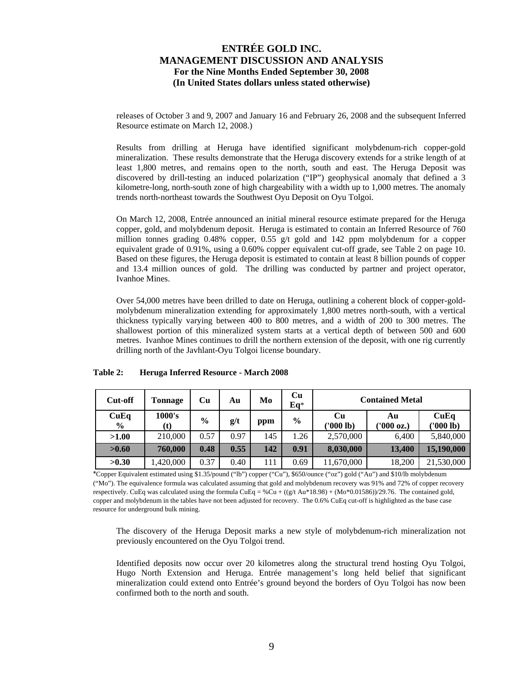releases of October 3 and 9, 2007 and January 16 and February 26, 2008 and the subsequent Inferred Resource estimate on March 12, 2008.)

Results from drilling at Heruga have identified significant molybdenum-rich copper-gold mineralization. These results demonstrate that the Heruga discovery extends for a strike length of at least 1,800 metres, and remains open to the north, south and east. The Heruga Deposit was discovered by drill-testing an induced polarization ("IP") geophysical anomaly that defined a 3 kilometre-long, north-south zone of high chargeability with a width up to 1,000 metres. The anomaly trends north-northeast towards the Southwest Oyu Deposit on Oyu Tolgoi.

On March 12, 2008, Entrée announced an initial mineral resource estimate prepared for the Heruga copper, gold, and molybdenum deposit. Heruga is estimated to contain an Inferred Resource of 760 million tonnes grading 0.48% copper, 0.55 g/t gold and 142 ppm molybdenum for a copper equivalent grade of 0.91%, using a 0.60% copper equivalent cut-off grade, see Table 2 on page 10. Based on these figures, the Heruga deposit is estimated to contain at least 8 billion pounds of copper and 13.4 million ounces of gold. The drilling was conducted by partner and project operator, Ivanhoe Mines.

Over 54,000 metres have been drilled to date on Heruga, outlining a coherent block of copper-goldmolybdenum mineralization extending for approximately 1,800 metres north-south, with a vertical thickness typically varying between 400 to 800 metres, and a width of 200 to 300 metres. The shallowest portion of this mineralized system starts at a vertical depth of between 500 and 600 metres. Ivanhoe Mines continues to drill the northern extension of the deposit, with one rig currently drilling north of the Javhlant-Oyu Tolgoi license boundary.

| Cut-off               | Tonnage       | Cu            | Au   | Mo  | Cu<br>$Eq*$   | <b>Contained Metal</b> |                  |                   |  |
|-----------------------|---------------|---------------|------|-----|---------------|------------------------|------------------|-------------------|--|
| CuEq<br>$\frac{6}{9}$ | 1000's<br>(t) | $\frac{6}{9}$ | g/t  | ppm | $\frac{0}{0}$ | Cu<br>('000 lb)        | Au<br>('000 oz.) | CuEq<br>('000 lb) |  |
| >1.00                 | 210,000       | 0.57          | 0.97 | 145 | 1.26          | 2,570,000              | 6,400            | 5,840,000         |  |
| >0.60                 | 760,000       | 0.48          | 0.55 | 142 | 0.91          | 8,030,000              | 13,400           | 15,190,000        |  |
| >0.30                 | 420,000       | 0.37          | 0.40 | 111 | 0.69          | 11,670,000             | 18,200           | 21,530,000        |  |

### **Table 2: Heruga Inferred Resource - March 2008**

\*Copper Equivalent estimated using \$1.35/pound ("lb") copper ("Cu"), \$650/ounce ("oz") gold ("Au") and \$10/lb molybdenum ("Mo"). The equivalence formula was calculated assuming that gold and molybdenum recovery was 91% and 72% of copper recovery respectively. CuEq was calculated using the formula CuEq = %Cu +  $((g/t \text{ Au*18.98}) + (\text{Mo*0.01586}))/29.76$ . The contained gold, copper and molybdenum in the tables have not been adjusted for recovery. The 0.6% CuEq cut-off is highlighted as the base case resource for underground bulk mining.

The discovery of the Heruga Deposit marks a new style of molybdenum-rich mineralization not previously encountered on the Oyu Tolgoi trend.

Identified deposits now occur over 20 kilometres along the structural trend hosting Oyu Tolgoi, Hugo North Extension and Heruga. Entrée management's long held belief that significant mineralization could extend onto Entrée's ground beyond the borders of Oyu Tolgoi has now been confirmed both to the north and south.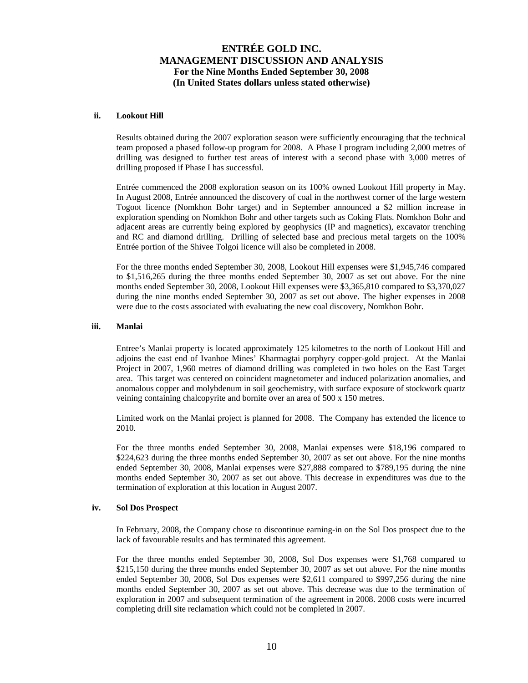#### **ii. Lookout Hill**

Results obtained during the 2007 exploration season were sufficiently encouraging that the technical team proposed a phased follow-up program for 2008. A Phase I program including 2,000 metres of drilling was designed to further test areas of interest with a second phase with 3,000 metres of drilling proposed if Phase I has successful.

Entrée commenced the 2008 exploration season on its 100% owned Lookout Hill property in May. In August 2008, Entrée announced the discovery of coal in the northwest corner of the large western Togoot licence (Nomkhon Bohr target) and in September announced a \$2 million increase in exploration spending on Nomkhon Bohr and other targets such as Coking Flats. Nomkhon Bohr and adjacent areas are currently being explored by geophysics (IP and magnetics), excavator trenching and RC and diamond drilling. Drilling of selected base and precious metal targets on the 100% Entrée portion of the Shivee Tolgoi licence will also be completed in 2008.

For the three months ended September 30, 2008, Lookout Hill expenses were \$1,945,746 compared to \$1,516,265 during the three months ended September 30, 2007 as set out above. For the nine months ended September 30, 2008, Lookout Hill expenses were \$3,365,810 compared to \$3,370,027 during the nine months ended September 30, 2007 as set out above. The higher expenses in 2008 were due to the costs associated with evaluating the new coal discovery, Nomkhon Bohr.

#### **iii. Manlai**

Entree's Manlai property is located approximately 125 kilometres to the north of Lookout Hill and adjoins the east end of Ivanhoe Mines' Kharmagtai porphyry copper-gold project. At the Manlai Project in 2007, 1,960 metres of diamond drilling was completed in two holes on the East Target area. This target was centered on coincident magnetometer and induced polarization anomalies, and anomalous copper and molybdenum in soil geochemistry, with surface exposure of stockwork quartz veining containing chalcopyrite and bornite over an area of 500 x 150 metres.

Limited work on the Manlai project is planned for 2008. The Company has extended the licence to 2010.

For the three months ended September 30, 2008, Manlai expenses were \$18,196 compared to \$224,623 during the three months ended September 30, 2007 as set out above. For the nine months ended September 30, 2008, Manlai expenses were \$27,888 compared to \$789,195 during the nine months ended September 30, 2007 as set out above. This decrease in expenditures was due to the termination of exploration at this location in August 2007.

#### **iv. Sol Dos Prospect**

In February, 2008, the Company chose to discontinue earning-in on the Sol Dos prospect due to the lack of favourable results and has terminated this agreement.

For the three months ended September 30, 2008, Sol Dos expenses were \$1,768 compared to \$215,150 during the three months ended September 30, 2007 as set out above. For the nine months ended September 30, 2008, Sol Dos expenses were \$2,611 compared to \$997,256 during the nine months ended September 30, 2007 as set out above. This decrease was due to the termination of exploration in 2007 and subsequent termination of the agreement in 2008. 2008 costs were incurred completing drill site reclamation which could not be completed in 2007.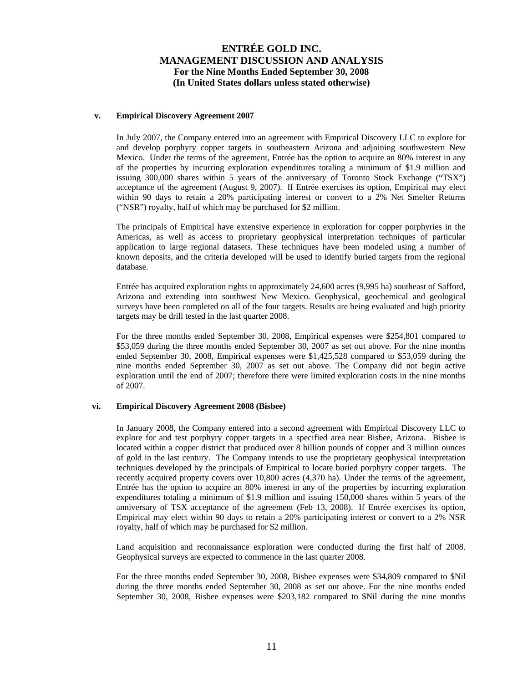### **v. Empirical Discovery Agreement 2007**

In July 2007, the Company entered into an agreement with Empirical Discovery LLC to explore for and develop porphyry copper targets in southeastern Arizona and adjoining southwestern New Mexico. Under the terms of the agreement, Entrée has the option to acquire an 80% interest in any of the properties by incurring exploration expenditures totaling a minimum of \$1.9 million and issuing 300,000 shares within 5 years of the anniversary of Toronto Stock Exchange ("TSX") acceptance of the agreement (August 9, 2007). If Entrée exercises its option, Empirical may elect within 90 days to retain a 20% participating interest or convert to a 2% Net Smelter Returns ("NSR") royalty, half of which may be purchased for \$2 million.

The principals of Empirical have extensive experience in exploration for copper porphyries in the Americas, as well as access to proprietary geophysical interpretation techniques of particular application to large regional datasets. These techniques have been modeled using a number of known deposits, and the criteria developed will be used to identify buried targets from the regional database.

Entrée has acquired exploration rights to approximately 24,600 acres (9,995 ha) southeast of Safford, Arizona and extending into southwest New Mexico. Geophysical, geochemical and geological surveys have been completed on all of the four targets. Results are being evaluated and high priority targets may be drill tested in the last quarter 2008.

For the three months ended September 30, 2008, Empirical expenses were \$254,801 compared to \$53,059 during the three months ended September 30, 2007 as set out above. For the nine months ended September 30, 2008, Empirical expenses were \$1,425,528 compared to \$53,059 during the nine months ended September 30, 2007 as set out above. The Company did not begin active exploration until the end of 2007; therefore there were limited exploration costs in the nine months of 2007.

## **vi. Empirical Discovery Agreement 2008 (Bisbee)**

In January 2008, the Company entered into a second agreement with Empirical Discovery LLC to explore for and test porphyry copper targets in a specified area near Bisbee, Arizona. Bisbee is located within a copper district that produced over 8 billion pounds of copper and 3 million ounces of gold in the last century. The Company intends to use the proprietary geophysical interpretation techniques developed by the principals of Empirical to locate buried porphyry copper targets. The recently acquired property covers over 10,800 acres (4,370 ha). Under the terms of the agreement, Entrée has the option to acquire an 80% interest in any of the properties by incurring exploration expenditures totaling a minimum of \$1.9 million and issuing 150,000 shares within 5 years of the anniversary of TSX acceptance of the agreement (Feb 13, 2008). If Entrée exercises its option, Empirical may elect within 90 days to retain a 20% participating interest or convert to a 2% NSR royalty, half of which may be purchased for \$2 million.

Land acquisition and reconnaissance exploration were conducted during the first half of 2008. Geophysical surveys are expected to commence in the last quarter 2008.

For the three months ended September 30, 2008, Bisbee expenses were \$34,809 compared to \$Nil during the three months ended September 30, 2008 as set out above. For the nine months ended September 30, 2008, Bisbee expenses were \$203,182 compared to \$Nil during the nine months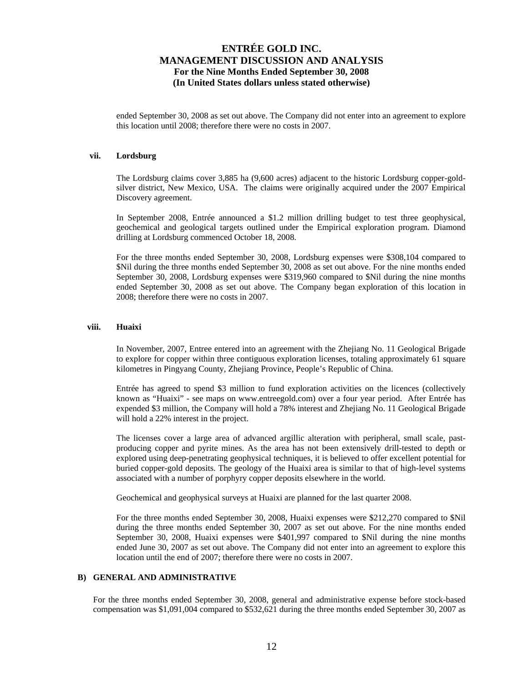ended September 30, 2008 as set out above. The Company did not enter into an agreement to explore this location until 2008; therefore there were no costs in 2007.

#### **vii. Lordsburg**

The Lordsburg claims cover 3,885 ha (9,600 acres) adjacent to the historic Lordsburg copper-goldsilver district, New Mexico, USA. The claims were originally acquired under the 2007 Empirical Discovery agreement.

In September 2008, Entrée announced a \$1.2 million drilling budget to test three geophysical, geochemical and geological targets outlined under the Empirical exploration program. Diamond drilling at Lordsburg commenced October 18, 2008.

For the three months ended September 30, 2008, Lordsburg expenses were \$308,104 compared to \$Nil during the three months ended September 30, 2008 as set out above. For the nine months ended September 30, 2008, Lordsburg expenses were \$319,960 compared to \$Nil during the nine months ended September 30, 2008 as set out above. The Company began exploration of this location in 2008; therefore there were no costs in 2007.

### **viii. Huaixi**

In November, 2007, Entree entered into an agreement with the Zhejiang No. 11 Geological Brigade to explore for copper within three contiguous exploration licenses, totaling approximately 61 square kilometres in Pingyang County, Zhejiang Province, People's Republic of China.

Entrée has agreed to spend \$3 million to fund exploration activities on the licences (collectively known as "Huaixi" - see maps on www.entreegold.com) over a four year period. After Entrée has expended \$3 million, the Company will hold a 78% interest and Zhejiang No. 11 Geological Brigade will hold a 22% interest in the project.

The licenses cover a large area of advanced argillic alteration with peripheral, small scale, pastproducing copper and pyrite mines. As the area has not been extensively drill-tested to depth or explored using deep-penetrating geophysical techniques, it is believed to offer excellent potential for buried copper-gold deposits. The geology of the Huaixi area is similar to that of high-level systems associated with a number of porphyry copper deposits elsewhere in the world.

Geochemical and geophysical surveys at Huaixi are planned for the last quarter 2008.

For the three months ended September 30, 2008, Huaixi expenses were \$212,270 compared to \$Nil during the three months ended September 30, 2007 as set out above. For the nine months ended September 30, 2008, Huaixi expenses were \$401,997 compared to \$Nil during the nine months ended June 30, 2007 as set out above. The Company did not enter into an agreement to explore this location until the end of 2007; therefore there were no costs in 2007.

#### **B) GENERAL AND ADMINISTRATIVE**

For the three months ended September 30, 2008, general and administrative expense before stock-based compensation was \$1,091,004 compared to \$532,621 during the three months ended September 30, 2007 as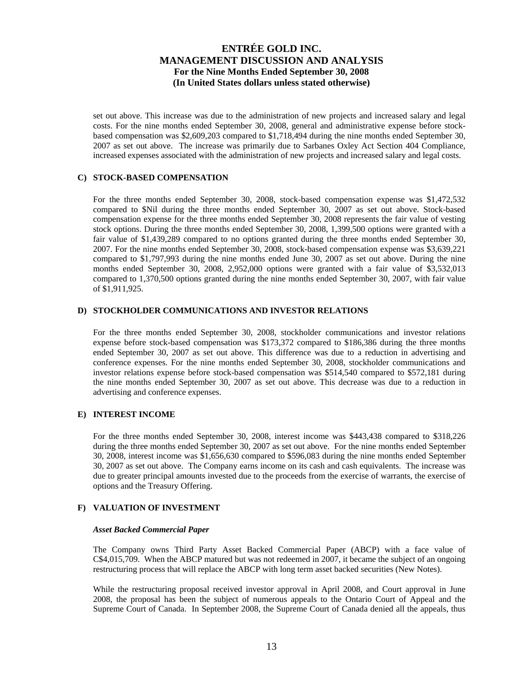set out above. This increase was due to the administration of new projects and increased salary and legal costs. For the nine months ended September 30, 2008, general and administrative expense before stockbased compensation was \$2,609,203 compared to \$1,718,494 during the nine months ended September 30, 2007 as set out above. The increase was primarily due to Sarbanes Oxley Act Section 404 Compliance, increased expenses associated with the administration of new projects and increased salary and legal costs.

### **C) STOCK-BASED COMPENSATION**

For the three months ended September 30, 2008, stock-based compensation expense was \$1,472,532 compared to \$Nil during the three months ended September 30, 2007 as set out above. Stock-based compensation expense for the three months ended September 30, 2008 represents the fair value of vesting stock options. During the three months ended September 30, 2008, 1,399,500 options were granted with a fair value of \$1,439,289 compared to no options granted during the three months ended September 30, 2007. For the nine months ended September 30, 2008, stock-based compensation expense was \$3,639,221 compared to \$1,797,993 during the nine months ended June 30, 2007 as set out above. During the nine months ended September 30, 2008, 2,952,000 options were granted with a fair value of \$3,532,013 compared to 1,370,500 options granted during the nine months ended September 30, 2007, with fair value of \$1,911,925.

### **D) STOCKHOLDER COMMUNICATIONS AND INVESTOR RELATIONS**

For the three months ended September 30, 2008, stockholder communications and investor relations expense before stock-based compensation was \$173,372 compared to \$186,386 during the three months ended September 30, 2007 as set out above. This difference was due to a reduction in advertising and conference expenses. For the nine months ended September 30, 2008, stockholder communications and investor relations expense before stock-based compensation was \$514,540 compared to \$572,181 during the nine months ended September 30, 2007 as set out above. This decrease was due to a reduction in advertising and conference expenses.

### **E) INTEREST INCOME**

For the three months ended September 30, 2008, interest income was \$443,438 compared to \$318,226 during the three months ended September 30, 2007 as set out above. For the nine months ended September 30, 2008, interest income was \$1,656,630 compared to \$596,083 during the nine months ended September 30, 2007 as set out above. The Company earns income on its cash and cash equivalents. The increase was due to greater principal amounts invested due to the proceeds from the exercise of warrants, the exercise of options and the Treasury Offering.

## **F) VALUATION OF INVESTMENT**

### *Asset Backed Commercial Paper*

The Company owns Third Party Asset Backed Commercial Paper (ABCP) with a face value of C\$4,015,709. When the ABCP matured but was not redeemed in 2007, it became the subject of an ongoing restructuring process that will replace the ABCP with long term asset backed securities (New Notes).

While the restructuring proposal received investor approval in April 2008, and Court approval in June 2008, the proposal has been the subject of numerous appeals to the Ontario Court of Appeal and the Supreme Court of Canada. In September 2008, the Supreme Court of Canada denied all the appeals, thus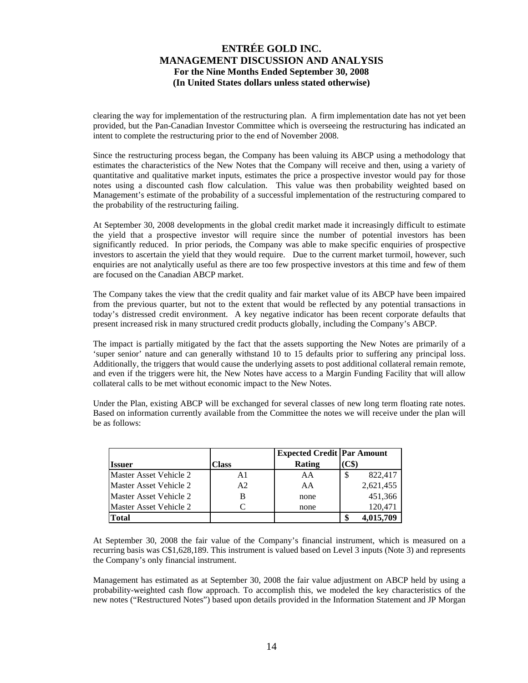clearing the way for implementation of the restructuring plan. A firm implementation date has not yet been provided, but the Pan-Canadian Investor Committee which is overseeing the restructuring has indicated an intent to complete the restructuring prior to the end of November 2008.

Since the restructuring process began, the Company has been valuing its ABCP using a methodology that estimates the characteristics of the New Notes that the Company will receive and then, using a variety of quantitative and qualitative market inputs, estimates the price a prospective investor would pay for those notes using a discounted cash flow calculation. This value was then probability weighted based on Management's estimate of the probability of a successful implementation of the restructuring compared to the probability of the restructuring failing.

At September 30, 2008 developments in the global credit market made it increasingly difficult to estimate the yield that a prospective investor will require since the number of potential investors has been significantly reduced. In prior periods, the Company was able to make specific enquiries of prospective investors to ascertain the yield that they would require. Due to the current market turmoil, however, such enquiries are not analytically useful as there are too few prospective investors at this time and few of them are focused on the Canadian ABCP market.

The Company takes the view that the credit quality and fair market value of its ABCP have been impaired from the previous quarter, but not to the extent that would be reflected by any potential transactions in today's distressed credit environment. A key negative indicator has been recent corporate defaults that present increased risk in many structured credit products globally, including the Company's ABCP.

The impact is partially mitigated by the fact that the assets supporting the New Notes are primarily of a 'super senior' nature and can generally withstand 10 to 15 defaults prior to suffering any principal loss. Additionally, the triggers that would cause the underlying assets to post additional collateral remain remote, and even if the triggers were hit, the New Notes have access to a Margin Funding Facility that will allow collateral calls to be met without economic impact to the New Notes.

Under the Plan, existing ABCP will be exchanged for several classes of new long term floating rate notes. Based on information currently available from the Committee the notes we will receive under the plan will be as follows:

|                               |                | <b>Expected Credit Par Amount</b> |              |
|-------------------------------|----------------|-----------------------------------|--------------|
| <b>Issuer</b>                 | Class          | <b>Rating</b>                     | (C\$)        |
| Master Asset Vehicle 2        | A1             | AA                                | 822,417<br>S |
| <b>Master Asset Vehicle 2</b> | A <sub>2</sub> | AA                                | 2,621,455    |
| <b>Master Asset Vehicle 2</b> |                | none                              | 451,366      |
| <b>Master Asset Vehicle 2</b> |                | none                              | 120,471      |
| <b>Total</b>                  |                |                                   | 4,015,709    |

At September 30, 2008 the fair value of the Company's financial instrument, which is measured on a recurring basis was C\$1,628,189. This instrument is valued based on Level 3 inputs (Note 3) and represents the Company's only financial instrument.

Management has estimated as at September 30, 2008 the fair value adjustment on ABCP held by using a probability-weighted cash flow approach. To accomplish this, we modeled the key characteristics of the new notes ("Restructured Notes") based upon details provided in the Information Statement and JP Morgan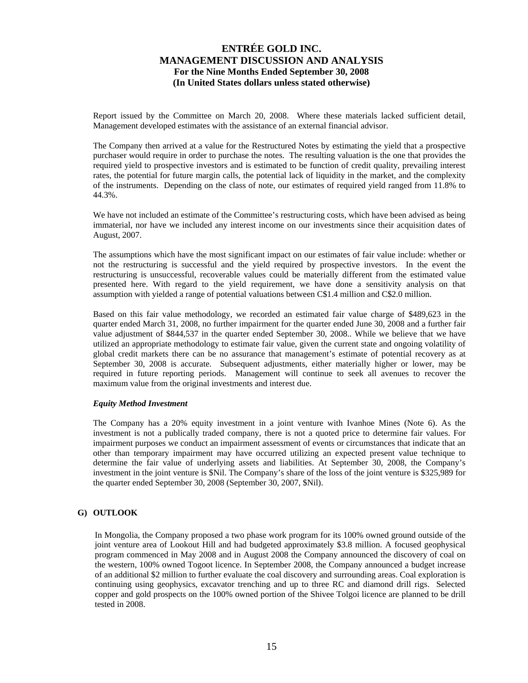Report issued by the Committee on March 20, 2008. Where these materials lacked sufficient detail, Management developed estimates with the assistance of an external financial advisor.

The Company then arrived at a value for the Restructured Notes by estimating the yield that a prospective purchaser would require in order to purchase the notes. The resulting valuation is the one that provides the required yield to prospective investors and is estimated to be function of credit quality, prevailing interest rates, the potential for future margin calls, the potential lack of liquidity in the market, and the complexity of the instruments. Depending on the class of note, our estimates of required yield ranged from 11.8% to 44.3%.

We have not included an estimate of the Committee's restructuring costs, which have been advised as being immaterial, nor have we included any interest income on our investments since their acquisition dates of August, 2007.

The assumptions which have the most significant impact on our estimates of fair value include: whether or not the restructuring is successful and the yield required by prospective investors. In the event the restructuring is unsuccessful, recoverable values could be materially different from the estimated value presented here. With regard to the yield requirement, we have done a sensitivity analysis on that assumption with yielded a range of potential valuations between C\$1.4 million and C\$2.0 million.

Based on this fair value methodology, we recorded an estimated fair value charge of \$489,623 in the quarter ended March 31, 2008, no further impairment for the quarter ended June 30, 2008 and a further fair value adjustment of \$844,537 in the quarter ended September 30, 2008.. While we believe that we have utilized an appropriate methodology to estimate fair value, given the current state and ongoing volatility of global credit markets there can be no assurance that management's estimate of potential recovery as at September 30, 2008 is accurate. Subsequent adjustments, either materially higher or lower, may be required in future reporting periods. Management will continue to seek all avenues to recover the maximum value from the original investments and interest due.

### *Equity Method Investment*

The Company has a 20% equity investment in a joint venture with Ivanhoe Mines (Note 6). As the investment is not a publically traded company, there is not a quoted price to determine fair values. For impairment purposes we conduct an impairment assessment of events or circumstances that indicate that an other than temporary impairment may have occurred utilizing an expected present value technique to determine the fair value of underlying assets and liabilities. At September 30, 2008, the Company's investment in the joint venture is \$Nil. The Company's share of the loss of the joint venture is \$325,989 for the quarter ended September 30, 2008 (September 30, 2007, \$Nil).

## **G) OUTLOOK**

In Mongolia, the Company proposed a two phase work program for its 100% owned ground outside of the joint venture area of Lookout Hill and had budgeted approximately \$3.8 million. A focused geophysical program commenced in May 2008 and in August 2008 the Company announced the discovery of coal on the western, 100% owned Togoot licence. In September 2008, the Company announced a budget increase of an additional \$2 million to further evaluate the coal discovery and surrounding areas. Coal exploration is continuing using geophysics, excavator trenching and up to three RC and diamond drill rigs. Selected copper and gold prospects on the 100% owned portion of the Shivee Tolgoi licence are planned to be drill tested in 2008.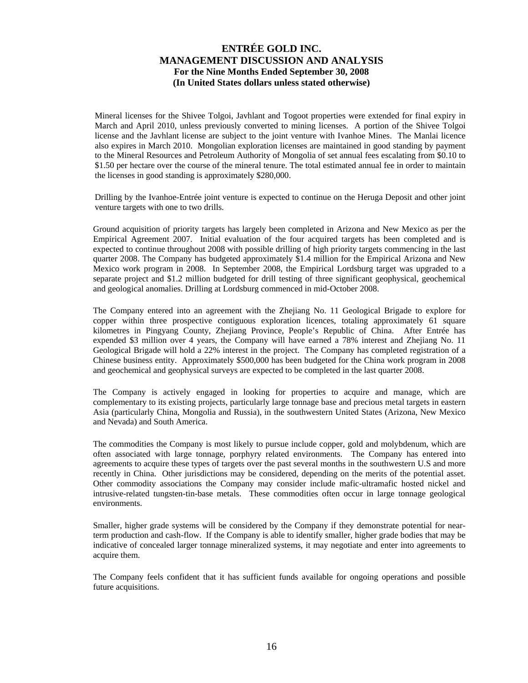Mineral licenses for the Shivee Tolgoi, Javhlant and Togoot properties were extended for final expiry in March and April 2010, unless previously converted to mining licenses. A portion of the Shivee Tolgoi license and the Javhlant license are subject to the joint venture with Ivanhoe Mines. The Manlai licence also expires in March 2010. Mongolian exploration licenses are maintained in good standing by payment to the Mineral Resources and Petroleum Authority of Mongolia of set annual fees escalating from \$0.10 to \$1.50 per hectare over the course of the mineral tenure. The total estimated annual fee in order to maintain the licenses in good standing is approximately \$280,000.

Drilling by the Ivanhoe-Entrée joint venture is expected to continue on the Heruga Deposit and other joint venture targets with one to two drills.

Ground acquisition of priority targets has largely been completed in Arizona and New Mexico as per the Empirical Agreement 2007. Initial evaluation of the four acquired targets has been completed and is expected to continue throughout 2008 with possible drilling of high priority targets commencing in the last quarter 2008. The Company has budgeted approximately \$1.4 million for the Empirical Arizona and New Mexico work program in 2008. In September 2008, the Empirical Lordsburg target was upgraded to a separate project and \$1.2 million budgeted for drill testing of three significant geophysical, geochemical and geological anomalies. Drilling at Lordsburg commenced in mid-October 2008.

The Company entered into an agreement with the Zhejiang No. 11 Geological Brigade to explore for copper within three prospective contiguous exploration licences, totaling approximately 61 square kilometres in Pingyang County, Zhejiang Province, People's Republic of China. After Entrée has expended \$3 million over 4 years, the Company will have earned a 78% interest and Zhejiang No. 11 Geological Brigade will hold a 22% interest in the project. The Company has completed registration of a Chinese business entity. Approximately \$500,000 has been budgeted for the China work program in 2008 and geochemical and geophysical surveys are expected to be completed in the last quarter 2008.

The Company is actively engaged in looking for properties to acquire and manage, which are complementary to its existing projects, particularly large tonnage base and precious metal targets in eastern Asia (particularly China, Mongolia and Russia), in the southwestern United States (Arizona, New Mexico and Nevada) and South America.

The commodities the Company is most likely to pursue include copper, gold and molybdenum, which are often associated with large tonnage, porphyry related environments. The Company has entered into agreements to acquire these types of targets over the past several months in the southwestern U.S and more recently in China. Other jurisdictions may be considered, depending on the merits of the potential asset. Other commodity associations the Company may consider include mafic-ultramafic hosted nickel and intrusive-related tungsten-tin-base metals. These commodities often occur in large tonnage geological environments.

Smaller, higher grade systems will be considered by the Company if they demonstrate potential for nearterm production and cash-flow. If the Company is able to identify smaller, higher grade bodies that may be indicative of concealed larger tonnage mineralized systems, it may negotiate and enter into agreements to acquire them.

The Company feels confident that it has sufficient funds available for ongoing operations and possible future acquisitions.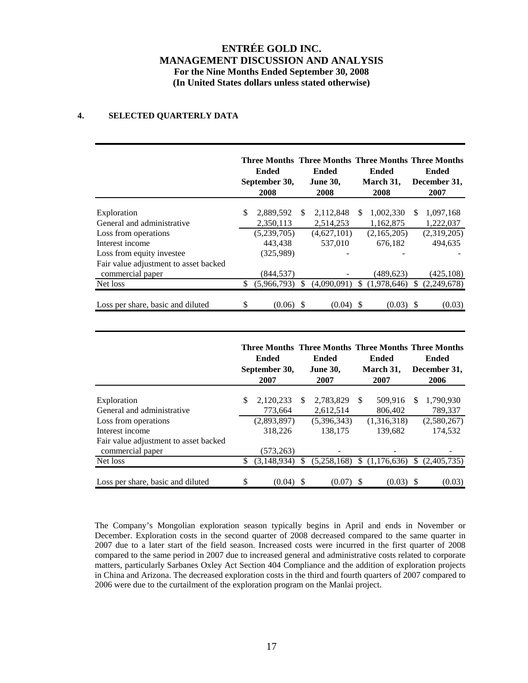## **4. SELECTED QUARTERLY DATA**

|                                                           |    | <b>Ended</b><br>September 30,<br>2008 |     | Three Months Three Months Three Months Three Months<br><b>Ended</b><br><b>June 30,</b><br>2008 |          | Ended<br>March 31,<br>2008 |     | Ended<br>December 31,<br>2007 |  |
|-----------------------------------------------------------|----|---------------------------------------|-----|------------------------------------------------------------------------------------------------|----------|----------------------------|-----|-------------------------------|--|
| Exploration                                               | \$ | 2,889,592                             | \$. | 2,112,848                                                                                      | <b>S</b> | 1,002,330                  | \$. | 1,097,168                     |  |
| General and administrative                                |    | 2,350,113                             |     | 2,514,253                                                                                      |          | 1,162,875                  |     | 1,222,037                     |  |
| Loss from operations                                      |    | (5,239,705)                           |     | (4,627,101)                                                                                    |          | (2,165,205)                |     | (2,319,205)                   |  |
| Interest income                                           |    | 443,438                               |     | 537,010                                                                                        |          | 676,182                    |     | 494.635                       |  |
| Loss from equity investee                                 |    | (325,989)                             |     |                                                                                                |          |                            |     |                               |  |
| Fair value adjustment to asset backed<br>commercial paper |    | (844,537)                             |     |                                                                                                |          | (489, 623)                 |     | (425, 108)                    |  |
| Net loss                                                  | \$ | (5,966,793)                           | \$. | (4.090.091)                                                                                    | \$.      | (1,978,646)                | \$. | (2,249,678)                   |  |
| Loss per share, basic and diluted                         | \$ | (0.06)                                | -S  | (0.04)                                                                                         | S        | (0.03)                     | S   | (0.03)                        |  |

|                                       |     | Ended<br>September 30,<br>2007 |     | Three Months Three Months Three Months Three Months<br>Ended<br><b>June 30,</b><br>2007 |    | <b>Ended</b><br>March 31,<br>2007 |     | <b>Ended</b><br>December 31,<br>2006 |
|---------------------------------------|-----|--------------------------------|-----|-----------------------------------------------------------------------------------------|----|-----------------------------------|-----|--------------------------------------|
| Exploration                           | \$. | 2,120,233                      | \$. | 2,783,829                                                                               | -S | 509,916                           | \$. | 1,790,930                            |
| General and administrative            |     | 773,664                        |     | 2,612,514                                                                               |    | 806,402                           |     | 789,337                              |
| Loss from operations                  |     | (2,893,897)                    |     | (5,396,343)                                                                             |    | (1,316,318)                       |     | (2,580,267)                          |
| Interest income                       |     | 318,226                        |     | 138.175                                                                                 |    | 139.682                           |     | 174.532                              |
| Fair value adjustment to asset backed |     |                                |     |                                                                                         |    |                                   |     |                                      |
| commercial paper                      |     | (573, 263)                     |     |                                                                                         |    |                                   |     |                                      |
| Net loss                              | \$. | (3,148,934)                    |     | (5,258,168)                                                                             | \$ | (1,176,636)                       | \$  | (2,405,735)                          |
| Loss per share, basic and diluted     | \$  | (0.04)                         | \$. | (0.07)                                                                                  | S. | (0.03)                            |     | (0.03)                               |

The Company's Mongolian exploration season typically begins in April and ends in November or December. Exploration costs in the second quarter of 2008 decreased compared to the same quarter in 2007 due to a later start of the field season. Increased costs were incurred in the first quarter of 2008 compared to the same period in 2007 due to increased general and administrative costs related to corporate matters, particularly Sarbanes Oxley Act Section 404 Compliance and the addition of exploration projects in China and Arizona. The decreased exploration costs in the third and fourth quarters of 2007 compared to 2006 were due to the curtailment of the exploration program on the Manlai project.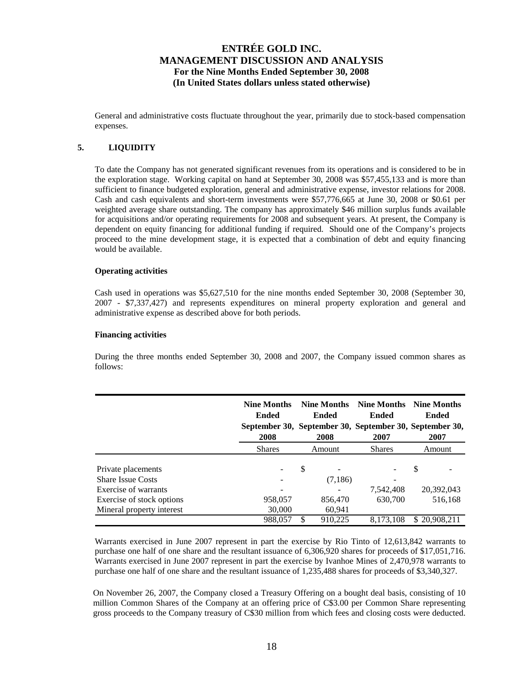General and administrative costs fluctuate throughout the year, primarily due to stock-based compensation expenses.

## **5. LIQUIDITY**

To date the Company has not generated significant revenues from its operations and is considered to be in the exploration stage. Working capital on hand at September 30, 2008 was \$57,455,133 and is more than sufficient to finance budgeted exploration, general and administrative expense, investor relations for 2008. Cash and cash equivalents and short-term investments were \$57,776,665 at June 30, 2008 or \$0.61 per weighted average share outstanding. The company has approximately \$46 million surplus funds available for acquisitions and/or operating requirements for 2008 and subsequent years. At present, the Company is dependent on equity financing for additional funding if required. Should one of the Company's projects proceed to the mine development stage, it is expected that a combination of debt and equity financing would be available.

### **Operating activities**

Cash used in operations was \$5,627,510 for the nine months ended September 30, 2008 (September 30, 2007 - \$7,337,427) and represents expenditures on mineral property exploration and general and administrative expense as described above for both periods.

### **Financing activities**

During the three months ended September 30, 2008 and 2007, the Company issued common shares as follows:

|                                                        | <b>Nine Months</b><br><b>Ended</b><br>2008 | <b>Nine Months</b><br><b>Ended</b><br>September 30, September 30, September 30, September 30,<br>2008 |                   | <b>Nine Months</b><br><b>Ended</b><br>2007 | <b>Nine Months</b><br><b>Ended</b><br>2007 |  |
|--------------------------------------------------------|--------------------------------------------|-------------------------------------------------------------------------------------------------------|-------------------|--------------------------------------------|--------------------------------------------|--|
|                                                        | <b>Shares</b>                              |                                                                                                       | Amount            | <b>Shares</b>                              | Amount                                     |  |
| Private placements<br><b>Share Issue Costs</b>         |                                            | \$                                                                                                    | (7,186)           |                                            | S                                          |  |
| Exercise of warrants                                   |                                            |                                                                                                       |                   | 7,542,408                                  | 20,392,043                                 |  |
| Exercise of stock options<br>Mineral property interest | 958,057<br>30,000                          |                                                                                                       | 856,470<br>60,941 | 630,700                                    | 516,168                                    |  |
|                                                        | 988.057                                    | \$                                                                                                    | 910,225           | 8,173,108                                  | \$20,908,211                               |  |

Warrants exercised in June 2007 represent in part the exercise by Rio Tinto of 12,613,842 warrants to purchase one half of one share and the resultant issuance of 6,306,920 shares for proceeds of \$17,051,716. Warrants exercised in June 2007 represent in part the exercise by Ivanhoe Mines of 2,470,978 warrants to purchase one half of one share and the resultant issuance of 1,235,488 shares for proceeds of \$3,340,327.

On November 26, 2007, the Company closed a Treasury Offering on a bought deal basis, consisting of 10 million Common Shares of the Company at an offering price of C\$3.00 per Common Share representing gross proceeds to the Company treasury of C\$30 million from which fees and closing costs were deducted.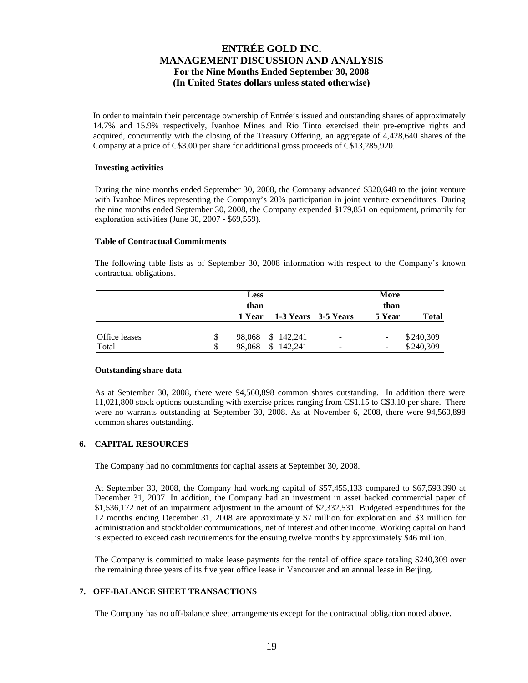In order to maintain their percentage ownership of Entrée's issued and outstanding shares of approximately 14.7% and 15.9% respectively, Ivanhoe Mines and Rio Tinto exercised their pre-emptive rights and acquired, concurrently with the closing of the Treasury Offering, an aggregate of 4,428,640 shares of the Company at a price of C\$3.00 per share for additional gross proceeds of C\$13,285,920.

### **Investing activities**

During the nine months ended September 30, 2008, the Company advanced \$320,648 to the joint venture with Ivanhoe Mines representing the Company's 20% participation in joint venture expenditures. During the nine months ended September 30, 2008, the Company expended \$179,851 on equipment, primarily for exploration activities (June 30, 2007 - \$69,559).

### **Table of Contractual Commitments**

The following table lists as of September 30, 2008 information with respect to the Company's known contractual obligations.

|               |   | <b>Less</b><br>than | 1 Year 1-3 Years 3-5 Years |                          | More<br>than<br>5 Year   | Total     |
|---------------|---|---------------------|----------------------------|--------------------------|--------------------------|-----------|
| Office leases |   | 98,068              | \$142,241                  | $\overline{\phantom{0}}$ | $\overline{\phantom{a}}$ | \$240,309 |
| Total         | S | 98,068              | 142.241<br>\$              | -                        | -                        | \$240,309 |

### **Outstanding share data**

As at September 30, 2008, there were 94,560,898 common shares outstanding. In addition there were 11,021,800 stock options outstanding with exercise prices ranging from C\$1.15 to C\$3.10 per share. There were no warrants outstanding at September 30, 2008. As at November 6, 2008, there were 94,560,898 common shares outstanding.

## **6. CAPITAL RESOURCES**

The Company had no commitments for capital assets at September 30, 2008.

At September 30, 2008, the Company had working capital of \$57,455,133 compared to \$67,593,390 at December 31, 2007. In addition, the Company had an investment in asset backed commercial paper of \$1,536,172 net of an impairment adjustment in the amount of \$2,332,531. Budgeted expenditures for the 12 months ending December 31, 2008 are approximately \$7 million for exploration and \$3 million for administration and stockholder communications, net of interest and other income. Working capital on hand is expected to exceed cash requirements for the ensuing twelve months by approximately \$46 million.

The Company is committed to make lease payments for the rental of office space totaling \$240,309 over the remaining three years of its five year office lease in Vancouver and an annual lease in Beijing.

## **7. OFF-BALANCE SHEET TRANSACTIONS**

The Company has no off-balance sheet arrangements except for the contractual obligation noted above.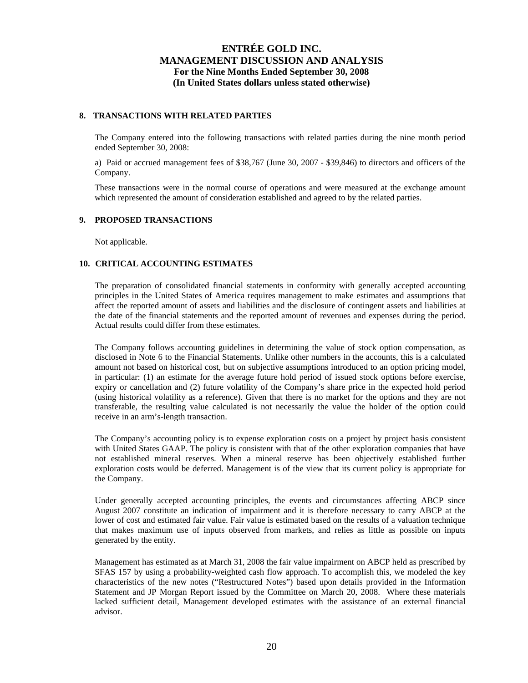### **8. TRANSACTIONS WITH RELATED PARTIES**

The Company entered into the following transactions with related parties during the nine month period ended September 30, 2008:

a) Paid or accrued management fees of \$38,767 (June 30, 2007 - \$39,846) to directors and officers of the Company.

These transactions were in the normal course of operations and were measured at the exchange amount which represented the amount of consideration established and agreed to by the related parties.

### **9. PROPOSED TRANSACTIONS**

Not applicable.

## **10. CRITICAL ACCOUNTING ESTIMATES**

The preparation of consolidated financial statements in conformity with generally accepted accounting principles in the United States of America requires management to make estimates and assumptions that affect the reported amount of assets and liabilities and the disclosure of contingent assets and liabilities at the date of the financial statements and the reported amount of revenues and expenses during the period. Actual results could differ from these estimates.

The Company follows accounting guidelines in determining the value of stock option compensation, as disclosed in Note 6 to the Financial Statements. Unlike other numbers in the accounts, this is a calculated amount not based on historical cost, but on subjective assumptions introduced to an option pricing model, in particular: (1) an estimate for the average future hold period of issued stock options before exercise, expiry or cancellation and (2) future volatility of the Company's share price in the expected hold period (using historical volatility as a reference). Given that there is no market for the options and they are not transferable, the resulting value calculated is not necessarily the value the holder of the option could receive in an arm's-length transaction.

The Company's accounting policy is to expense exploration costs on a project by project basis consistent with United States GAAP. The policy is consistent with that of the other exploration companies that have not established mineral reserves. When a mineral reserve has been objectively established further exploration costs would be deferred. Management is of the view that its current policy is appropriate for the Company.

Under generally accepted accounting principles, the events and circumstances affecting ABCP since August 2007 constitute an indication of impairment and it is therefore necessary to carry ABCP at the lower of cost and estimated fair value. Fair value is estimated based on the results of a valuation technique that makes maximum use of inputs observed from markets, and relies as little as possible on inputs generated by the entity.

Management has estimated as at March 31, 2008 the fair value impairment on ABCP held as prescribed by SFAS 157 by using a probability-weighted cash flow approach. To accomplish this, we modeled the key characteristics of the new notes ("Restructured Notes") based upon details provided in the Information Statement and JP Morgan Report issued by the Committee on March 20, 2008. Where these materials lacked sufficient detail, Management developed estimates with the assistance of an external financial advisor.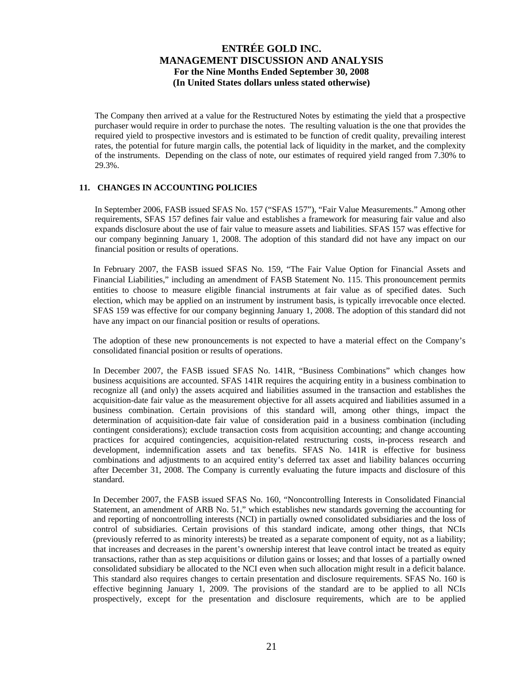The Company then arrived at a value for the Restructured Notes by estimating the yield that a prospective purchaser would require in order to purchase the notes. The resulting valuation is the one that provides the required yield to prospective investors and is estimated to be function of credit quality, prevailing interest rates, the potential for future margin calls, the potential lack of liquidity in the market, and the complexity of the instruments. Depending on the class of note, our estimates of required yield ranged from 7.30% to 29.3%.

## **11. CHANGES IN ACCOUNTING POLICIES**

In September 2006, FASB issued SFAS No. 157 ("SFAS 157"), "Fair Value Measurements." Among other requirements, SFAS 157 defines fair value and establishes a framework for measuring fair value and also expands disclosure about the use of fair value to measure assets and liabilities. SFAS 157 was effective for our company beginning January 1, 2008. The adoption of this standard did not have any impact on our financial position or results of operations.

In February 2007, the FASB issued SFAS No. 159, "The Fair Value Option for Financial Assets and Financial Liabilities," including an amendment of FASB Statement No. 115. This pronouncement permits entities to choose to measure eligible financial instruments at fair value as of specified dates. Such election, which may be applied on an instrument by instrument basis, is typically irrevocable once elected. SFAS 159 was effective for our company beginning January 1, 2008. The adoption of this standard did not have any impact on our financial position or results of operations.

The adoption of these new pronouncements is not expected to have a material effect on the Company's consolidated financial position or results of operations.

In December 2007, the FASB issued SFAS No. 141R, "Business Combinations" which changes how business acquisitions are accounted. SFAS 141R requires the acquiring entity in a business combination to recognize all (and only) the assets acquired and liabilities assumed in the transaction and establishes the acquisition-date fair value as the measurement objective for all assets acquired and liabilities assumed in a business combination. Certain provisions of this standard will, among other things, impact the determination of acquisition-date fair value of consideration paid in a business combination (including contingent considerations); exclude transaction costs from acquisition accounting; and change accounting practices for acquired contingencies, acquisition-related restructuring costs, in-process research and development, indemnification assets and tax benefits. SFAS No. 141R is effective for business combinations and adjustments to an acquired entity's deferred tax asset and liability balances occurring after December 31, 2008. The Company is currently evaluating the future impacts and disclosure of this standard.

In December 2007, the FASB issued SFAS No. 160, "Noncontrolling Interests in Consolidated Financial Statement, an amendment of ARB No. 51," which establishes new standards governing the accounting for and reporting of noncontrolling interests (NCI) in partially owned consolidated subsidiaries and the loss of control of subsidiaries. Certain provisions of this standard indicate, among other things, that NCIs (previously referred to as minority interests) be treated as a separate component of equity, not as a liability; that increases and decreases in the parent's ownership interest that leave control intact be treated as equity transactions, rather than as step acquisitions or dilution gains or losses; and that losses of a partially owned consolidated subsidiary be allocated to the NCI even when such allocation might result in a deficit balance. This standard also requires changes to certain presentation and disclosure requirements. SFAS No. 160 is effective beginning January 1, 2009. The provisions of the standard are to be applied to all NCIs prospectively, except for the presentation and disclosure requirements, which are to be applied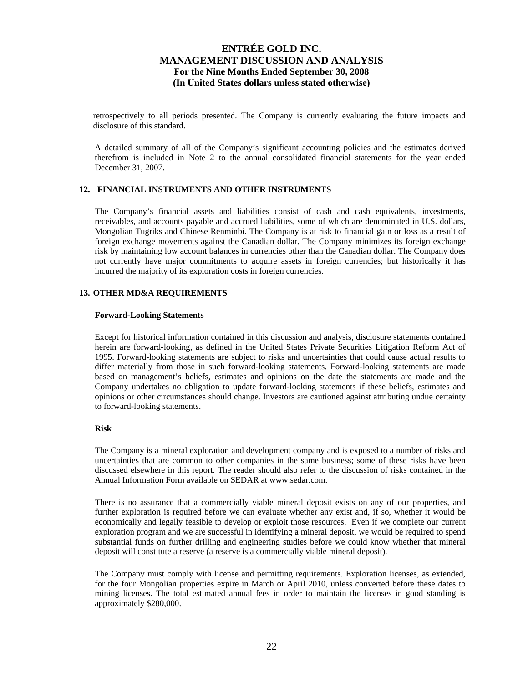retrospectively to all periods presented. The Company is currently evaluating the future impacts and disclosure of this standard.

A detailed summary of all of the Company's significant accounting policies and the estimates derived therefrom is included in Note 2 to the annual consolidated financial statements for the year ended December 31, 2007.

### **12. FINANCIAL INSTRUMENTS AND OTHER INSTRUMENTS**

The Company's financial assets and liabilities consist of cash and cash equivalents, investments, receivables, and accounts payable and accrued liabilities, some of which are denominated in U.S. dollars, Mongolian Tugriks and Chinese Renminbi. The Company is at risk to financial gain or loss as a result of foreign exchange movements against the Canadian dollar. The Company minimizes its foreign exchange risk by maintaining low account balances in currencies other than the Canadian dollar. The Company does not currently have major commitments to acquire assets in foreign currencies; but historically it has incurred the majority of its exploration costs in foreign currencies.

### **13. OTHER MD&A REQUIREMENTS**

#### **Forward-Looking Statements**

Except for historical information contained in this discussion and analysis, disclosure statements contained herein are forward-looking, as defined in the United States Private Securities Litigation Reform Act of 1995. Forward-looking statements are subject to risks and uncertainties that could cause actual results to differ materially from those in such forward-looking statements. Forward-looking statements are made based on management's beliefs, estimates and opinions on the date the statements are made and the Company undertakes no obligation to update forward-looking statements if these beliefs, estimates and opinions or other circumstances should change. Investors are cautioned against attributing undue certainty to forward-looking statements.

### **Risk**

The Company is a mineral exploration and development company and is exposed to a number of risks and uncertainties that are common to other companies in the same business; some of these risks have been discussed elsewhere in this report. The reader should also refer to the discussion of risks contained in the Annual Information Form available on SEDAR at www.sedar.com.

There is no assurance that a commercially viable mineral deposit exists on any of our properties, and further exploration is required before we can evaluate whether any exist and, if so, whether it would be economically and legally feasible to develop or exploit those resources. Even if we complete our current exploration program and we are successful in identifying a mineral deposit, we would be required to spend substantial funds on further drilling and engineering studies before we could know whether that mineral deposit will constitute a reserve (a reserve is a commercially viable mineral deposit).

The Company must comply with license and permitting requirements. Exploration licenses, as extended, for the four Mongolian properties expire in March or April 2010, unless converted before these dates to mining licenses. The total estimated annual fees in order to maintain the licenses in good standing is approximately \$280,000.